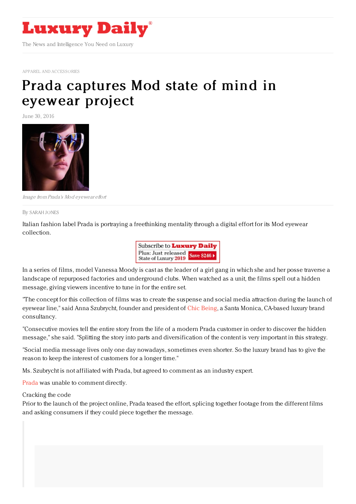

APPAREL AND [ACCESSORIES](https://www.luxurydaily.com/category/sectors/apparel-and-accessories/)

## Prada [captures](https://www.luxurydaily.com/prada-captures-mod-state-of-mind-in-eyewear-project/) Mod state of mind in eyewear project

June 30, 2016



Image from Prada's Mod eyewear effort

By [SARAH](file:///author/sarah-jones) JONES

Italian fashion label Prada is portraying a freethinking mentality through a digital effort for its Mod eyewear collection.



In a series of films, model Vanessa Moody is cast as the leader of a girl gang in which she and her posse traverse a landscape of repurposed factories and underground clubs. When watched as a unit, the films spell out a hidden message, giving viewers incentive to tune in for the entire set.

"The concept for this collection of films was to create the suspense and social media attraction during the launch of eyewear line," said Anna Szubrycht, founder and president of Chic [Being](http://www.chicbeing.com/), a Santa Monica, CA-based luxury brand consultancy.

"Consecutive movies tell the entire story from the life of a modern Prada customer in order to discover the hidden message," she said. "Splitting the story into parts and diversification of the content is very important in this strategy.

"Social media message lives only one day nowadays, sometimes even shorter. So the luxury brand has to give the reason to keep the interest of customers for a longer time."

Ms. Szubrycht is not affiliated with Prada, but agreed to comment as an industry expert.

[Prada](http://prada.com) was unable to comment directly.

Cracking the code

Prior to the launch of the project online, Prada teased the effort, splicing together footage from the different films and asking consumers if they could piece together the message.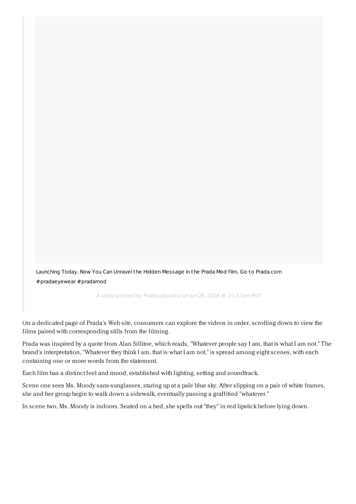Launching Today. Now You Can Unravel the Hidden Message in the Prada Mod film. Go to Prada.com [#pradaeyewear](https://www.instagram.com/p/BHNRX2zhT7g/) #pradamod

A video posted by Prada (@prada) on Jun 28, 2016 at 10:57am PDT

On a dedicated page of Prada's Web site, consumers can explore the videos in order, scrolling down to view the films paired with corresponding stills from the filming.

Prada was inspired by a quote from Alan Sillitoe, which reads, "Whatever people say I am, that is what I am not." The brand's interpretation, "Whatever they think I am, that is what I am not," is spread among eight scenes, with each containing one or more words from the statement.

Each film has a distinct feel and mood, established with lighting, setting and soundtrack.

Scene one sees Ms. Moody sans-sunglasses, staring up at a pale blue sky. After slipping on a pair of white frames, she and her group begin to walk down a sidewalk, eventually passing a graffitied "whatever."

In scene two, Ms. Moody is indoors. Seated on a bed, she spells out "they" in red lipstick before lying down.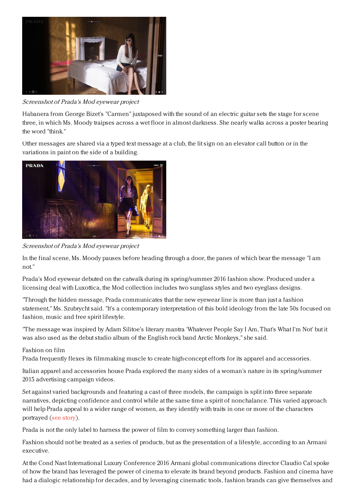

Screenshot of Prada's Mod eyewear project

Habanera from George Bizet's "Carmen" juxtaposed with the sound of an electric guitar sets the stage for scene three, in which Ms. Moody traipses across a wet floor in almost darkness. She nearly walks across a poster bearing the word "think."

Other messages are shared via a typed text message at a club, the lit sign on an elevator call button or in the variations in paint on the side of a building.



Screenshot of Prada's Mod eyewear project

In the final scene, Ms. Moody pauses before heading through a door, the panes of which bear the message "I am not."

Prada's Mod eyewear debuted on the catwalk during its spring/summer 2016 fashion show. Produced under a licensing deal with Luxottica, the Mod collection includes two sunglass styles and two eyeglass designs.

"Through the hidden message, Prada communicates that the new eyewear line is more than just a fashion statement," Ms. Szubrycht said. "It's a contemporary interpretation of this bold ideology from the late 50s focused on fashion, music and free spirit lifestyle.

"The message was inspired by Adam Silitoe's literary mantra 'Whatever People Say I Am, That's What I'm Not' but it was also used as the debut studio album of the English rock band Arctic Monkeys," she said.

## Fashion on film

Prada frequently flexes its filmmaking muscle to create high-concept efforts for its apparel and accessories.

Italian apparel and accessories house Prada explored the many sides of a woman's nature in its spring/summer 2015 advertising campaign videos.

Set against varied backgrounds and featuring a cast of three models, the campaign is split into three separate narratives, depicting confidence and control while at the same time a spirit of nonchalance. This varied approach will help Prada appeal to a wider range of women, as they identify with traits in one or more of the characters portrayed (see [story](https://www.luxurydaily.com/prada-muses-on-contradictions-in-overlapping-narrative-films/)).

Prada is not the only label to harness the power of film to convey something larger than fashion.

Fashion should not be treated as a series of products, but as the presentation of a lifestyle, according to an Armani executive.

At the Cond Nast International Luxury Conference 2016 Armani global communications director Claudio Cal spoke of how the brand has leveraged the power of cinema to elevate its brand beyond products. Fashion and cinema have had a dialogic relationship for decades, and by leveraging cinematic tools, fashion brands can give themselves and